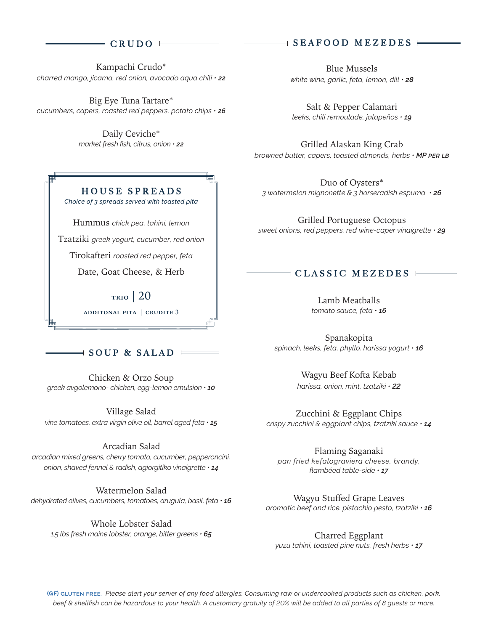## $\parallel$  CRUDO  $\parallel$

Kampachi Crudo\* *charred mango, jicama, red onion, avocado aqua chili • 22*

Big Eye Tuna Tartare\* *cucumbers, capers, roasted red peppers, potato chips • 26*

> Daily Ceviche\* *market fresh fish, citrus, onion • 22*

# HOUSE SPREADS

*Choice of 3 spreads served with toasted pita*

Hummus *chick pea, tahini, lemon*

Tzatziki *greek yogurt, cucumber, red onion*

Tirokafteri *roasted red pepper, feta*

Date, Goat Cheese, & Herb

**trio** | 20 **additonal pita** | **crudite** 3

## $\exists$  SOUP & SALAD  $\vdash$

Chicken & Orzo Soup *greek avgolemono- chicken, egg-lemon emulsion • 10*

Village Salad *vine tomatoes, extra virgin olive oil, barrel aged feta • 15*

### Arcadian Salad

*arcadian mixed greens, cherry tomato, cucumber, pepperoncini, onion, shaved fennel & radish, agiorgitiko vinaigrette • 14*

Watermelon Salad *dehydrated olives, cucumbers, tomatoes, arugula, basil, feta • 16*

Whole Lobster Salad *1.5 lbs fresh maine lobster, orange, bitter greens • 65*

## SEAFOOD MEZEDES

Blue Mussels *white wine, garlic, feta, lemon, dill • 28*

Salt & Pepper Calamari *leeks, chili remoulade, jalapeños • 19*

Grilled Alaskan King Crab *browned butter, capers, toasted almonds, herbs • MP per lb*

Duo of Oysters\* *3 watermelon mignonette & 3 horseradish espuma • 26*

Grilled Portuguese Octopus *sweet onions, red peppers, red wine-caper vinaigrette • 29*

## $\exists$  CLASSIC MEZEDES  $\models$

Lamb Meatballs *tomato sauce, feta • 16*

Spanakopita *spinach, leeks, feta, phyllo. harissa yogurt • 16*

> Wagyu Beef Kofta Kebab *harissa, onion, mint, tzatziki* • *22*

Zucchini & Eggplant Chips *crispy zucchini & eggplant chips, tzatziki sauce • 14*

Flaming Saganaki *pan fried kefalograviera cheese, brandy, flambéed table-side • 17*

Wagyu Stuffed Grape Leaves *aromatic beef and rice. pistachio pesto, tzatziki • 16*

Charred Eggplant *yuzu tahini, toasted pine nuts, fresh herbs • 17*

**( ) gluten free**. *Please alert your server of any food allergies. Consuming raw or undercooked products such as chicken, pork, beef & shellfish can be hazardous to your health. A customary gratuity of 20% will be added to all parties of 8 guests or more.*